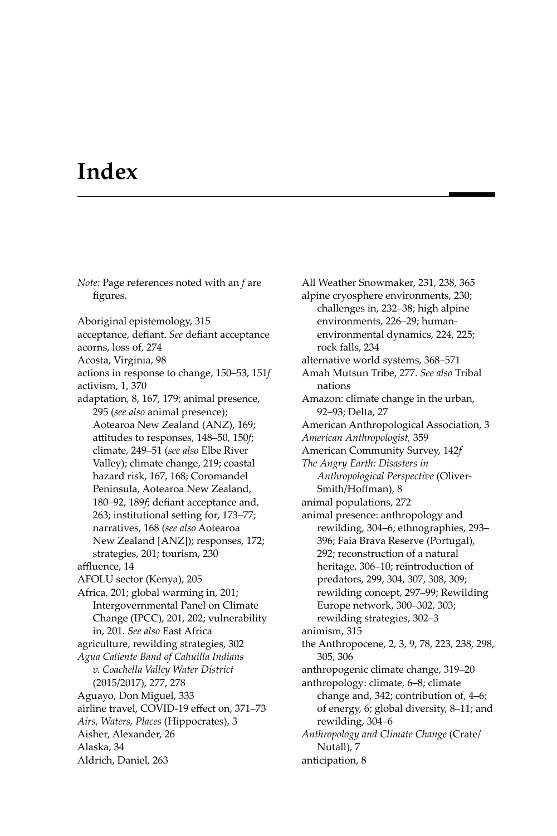## **Index**

*Note:* Page references noted with an *f* are figures. Aboriginal epistemology, 315 acceptance, defiant. See defiant acceptance acorns, loss of, 274 Acosta, Virginia, 98 actions in response to change, 150–53, 151*f* activism, 1, 370 adaptation, 8, 167, 179; animal presence, 295 (*see also* animal presence); Aotearoa New Zealand (ANZ), 169; attitudes to responses, 148–50, 150*f*; climate, 249–51 (*see also* Elbe River Valley); climate change, 219; coastal hazard risk, 167, 168; Coromandel Peninsula, Aotearoa New Zealand, 180–92, 189f; defiant acceptance and, 263; institutional setting for, 173–77; narratives, 168 (*see also* Aotearoa New Zealand [ANZ]); responses, 172; strategies, 201; tourism, 230 affluence, 14 AFOLU sector (Kenya), 205 Africa, 201; global warming in, 201; Intergovernmental Panel on Climate Change (IPCC), 201, 202; vulnerability in, 201. *See also* East Africa agriculture, rewilding strategies, 302 *Agua Caliente Band of Cahuilla Indians v. Coachella Valley Water District* (2015/2017), 277, 278 Aguayo, Don Miguel, 333 airline travel, COVID-19 effect on, 371-73 *Airs, Waters, Places* (Hippocrates), 3 Aisher, Alexander, 26 Alaska, 34 Aldrich, Daniel, 263

All Weather Snowmaker, 231, 238, 365 alpine cryosphere environments, 230; challenges in, 232–38; high alpine environments, 226–29; humanenvironmental dynamics, 224, 225; rock falls, 234 alternative world systems, 368–571 Amah Mutsun Tribe, 277. *See also* Tribal nations Amazon: climate change in the urban, 92–93; Delta, 27 American Anthropological Association, 3 *American Anthropologist,* 359 American Community Survey, 142*f The Angry Earth: Disasters in Anthropological Perspective* (Oliver-Smith/Hoffman), 8 animal populations, 272 animal presence: anthropology and rewilding, 304–6; ethnographies, 293– 396; Faia Brava Reserve (Portugal), 292; reconstruction of a natural heritage, 306–10; reintroduction of predators, 299, 304, 307, 308, 309; rewilding concept, 297–99; Rewilding Europe network, 300–302, 303; rewilding strategies, 302–3 animism, 315 the Anthropocene, 2, 3, 9, 78, 223, 238, 298, 305, 306 anthropogenic climate change, 319–20 anthropology: climate, 6–8; climate change and, 342; contribution of, 4–6; of energy, 6; global diversity, 8–11; and rewilding, 304–6 *Anthropology and Climate Change* (Crate/ Nutall), 7 anticipation, 8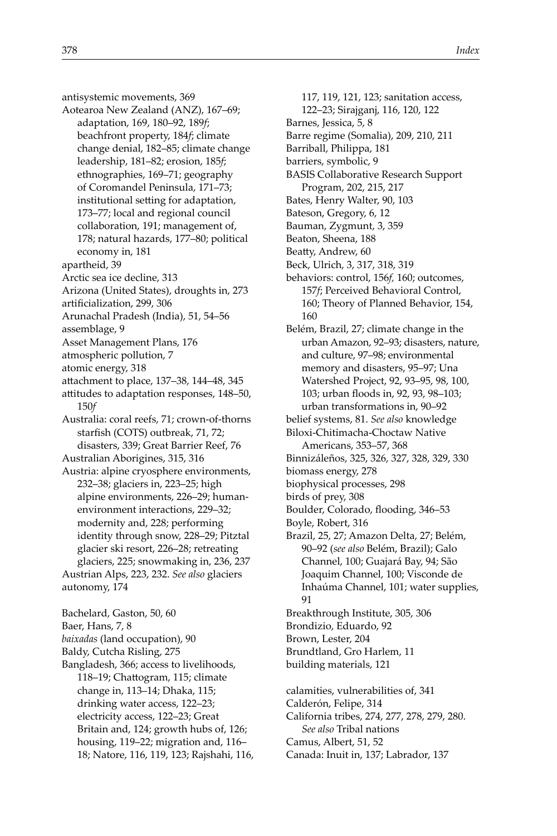antisystemic movements, 369 Aotearoa New Zealand (ANZ), 167–69; adaptation, 169, 180–92, 189*f*; beachfront property, 184*f*; climate change denial, 182–85; climate change leadership, 181–82; erosion, 185*f*; ethnographies, 169–71; geography of Coromandel Peninsula, 171–73; institutional setting for adaptation, 173–77; local and regional council collaboration, 191; management of, 178; natural hazards, 177–80; political economy in, 181 apartheid, 39 Arctic sea ice decline, 313 Arizona (United States), droughts in, 273 artificialization, 299, 306 Arunachal Pradesh (India), 51, 54–56 assemblage, 9 Asset Management Plans, 176 atmospheric pollution, 7 atomic energy, 318 attachment to place, 137–38, 144–48, 345 attitudes to adaptation responses, 148-50, 150*f* Australia: coral reefs, 71; crown-of-thorns starfish (COTS) outbreak, 71, 72; disasters, 339; Great Barrier Reef, 76 Australian Aborigines, 315, 316 Austria: alpine cryosphere environments, 232–38; glaciers in, 223–25; high alpine environments, 226–29; humanenvironment interactions, 229–32; modernity and, 228; performing identity through snow, 228–29; Pitztal glacier ski resort, 226–28; retreating glaciers, 225; snowmaking in, 236, 237 Austrian Alps, 223, 232. *See also* glaciers autonomy, 174 Bachelard, Gaston, 50, 60 Baer, Hans, 7, 8 *baixadas* (land occupation), 90 Baldy, Cutcha Risling, 275

Bangladesh, 366; access to livelihoods, 118-19; Chattogram, 115; climate change in, 113–14; Dhaka, 115; drinking water access, 122–23; electricity access, 122–23; Great Britain and, 124; growth hubs of, 126; housing, 119–22; migration and, 116– 18; Natore, 116, 119, 123; Rajshahi, 116,

117, 119, 121, 123; sanitation access, 122–23; Sirajganj, 116, 120, 122 Barnes, Jessica, 5, 8 Barre regime (Somalia), 209, 210, 211 Barriball, Philippa, 181 barriers, symbolic, 9 BASIS Collaborative Research Support Program, 202, 215, 217 Bates, Henry Walter, 90, 103 Bateson, Gregory, 6, 12 Bauman, Zygmunt, 3, 359 Beaton, Sheena, 188 Beatty, Andrew, 60 Beck, Ulrich, 3, 317, 318, 319 behaviors: control, 156*f,* 160; outcomes, 157*f*; Perceived Behavioral Control, 160; Theory of Planned Behavior, 154, 160 Belém, Brazil, 27; climate change in the urban Amazon, 92–93; disasters, nature, and culture, 97–98; environmental memory and disasters, 95–97; Una Watershed Project, 92, 93–95, 98, 100, 103; urban floods in, 92, 93, 98-103; urban transformations in, 90–92 belief systems, 81. *See also* knowledge Biloxi-Chitimacha-Choctaw Native Americans, 353–57, 368 Binnizáleños, 325, 326, 327, 328, 329, 330 biomass energy, 278 biophysical processes, 298 birds of prey, 308 Boulder, Colorado, flooding, 346-53 Boyle, Robert, 316 Brazil, 25, 27; Amazon Delta, 27; Belém, 90–92 (*see also* Belém, Brazil); Galo Channel, 100; Guajará Bay, 94; São Joaquim Channel, 100; Visconde de Inhaúma Channel, 101; water supplies, 91 Breakthrough Institute, 305, 306 Brondizio, Eduardo, 92 Brown, Lester, 204 Brundtland, Gro Harlem, 11 building materials, 121 calamities, vulnerabilities of, 341 Calderón, Felipe, 314 California tribes, 274, 277, 278, 279, 280.

- *See also* Tribal nations
- Camus, Albert, 51, 52
- Canada: Inuit in, 137; Labrador, 137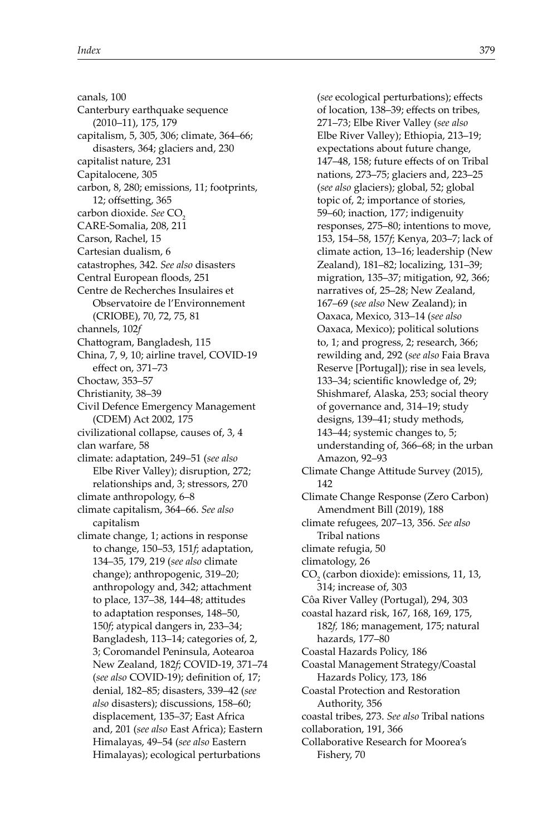canals, 100 Canterbury earthquake sequence (2010–11), 175, 179 capitalism, 5, 305, 306; climate, 364–66; disasters, 364; glaciers and, 230 capitalist nature, 231 Capitalocene, 305 carbon, 8, 280; emissions, 11; footprints,  $12$ ; off setting, 365 carbon dioxide. See CO<sub>2</sub> CARE-Somalia, 208, 211 Carson, Rachel, 15 Cartesian dualism, 6 catastrophes, 342. *See also* disasters Central European floods, 251 Centre de Recherches Insulaires et Observatoire de l'Environnement (CRIOBE), 70, 72, 75, 81 channels, 102*f* Chattogram, Bangladesh, 115 China, 7, 9, 10; airline travel, COVID-19 effect on, 371-73 Choctaw, 353–57 Christianity, 38–39 Civil Defence Emergency Management (CDEM) Act 2002, 175 civilizational collapse, causes of, 3, 4 clan warfare, 58 climate: adaptation, 249–51 (*see also* Elbe River Valley); disruption, 272; relationships and, 3; stressors, 270 climate anthropology, 6–8 climate capitalism, 364–66. *See also* capitalism climate change, 1; actions in response to change, 150–53, 151*f*; adaptation, 134–35, 179, 219 (*see also* climate change); anthropogenic, 319–20; anthropology and, 342; attachment to place, 137-38, 144-48; attitudes to adaptation responses, 148–50, 150*f*; atypical dangers in, 233–34; Bangladesh, 113–14; categories of, 2, 3; Coromandel Peninsula, Aotearoa New Zealand, 182*f*; COVID-19, 371–74 (see also COVID-19); definition of, 17; denial, 182–85; disasters, 339–42 (*see also* disasters); discussions, 158–60; displacement, 135–37; East Africa and, 201 (*see also* East Africa); Eastern Himalayas, 49–54 (*see also* Eastern Himalayas); ecological perturbations

(*see* ecological perturbations); effects of location, 138-39; effects on tribes, 271–73; Elbe River Valley (*see also* Elbe River Valley); Ethiopia, 213–19; expectations about future change, 147-48, 158; future effects of on Tribal nations, 273–75; glaciers and, 223–25 (*see also* glaciers); global, 52; global topic of, 2; importance of stories, 59–60; inaction, 177; indigenuity responses, 275–80; intentions to move, 153, 154–58, 157*f*; Kenya, 203–7; lack of climate action, 13–16; leadership (New Zealand), 181–82; localizing, 131–39; migration, 135–37; mitigation, 92, 366; narratives of, 25–28; New Zealand, 167–69 (*see also* New Zealand); in Oaxaca, Mexico, 313–14 (*see also* Oaxaca, Mexico); political solutions to, 1; and progress, 2; research, 366; rewilding and, 292 (*see also* Faia Brava Reserve [Portugal]); rise in sea levels, 133–34; scientific knowledge of, 29; Shishmaref, Alaska, 253; social theory of governance and, 314–19; study designs, 139–41; study methods, 143–44; systemic changes to, 5; understanding of, 366–68; in the urban Amazon, 92–93 Climate Change Attitude Survey (2015), 142 Climate Change Response (Zero Carbon) Amendment Bill (2019), 188 climate refugees, 207–13, 356. *See also* Tribal nations climate refugia, 50 climatology, 26  $CO<sub>2</sub>$  (carbon dioxide): emissions, 11, 13, 314; increase of, 303 Côa River Valley (Portugal), 294, 303 coastal hazard risk, 167, 168, 169, 175, 182*f,* 186; management, 175; natural hazards, 177–80 Coastal Hazards Policy, 186 Coastal Management Strategy/Coastal Hazards Policy, 173, 186 Coastal Protection and Restoration Authority, 356 coastal tribes, 273. *See also* Tribal nations collaboration, 191, 366 Collaborative Research for Moorea's Fishery, 70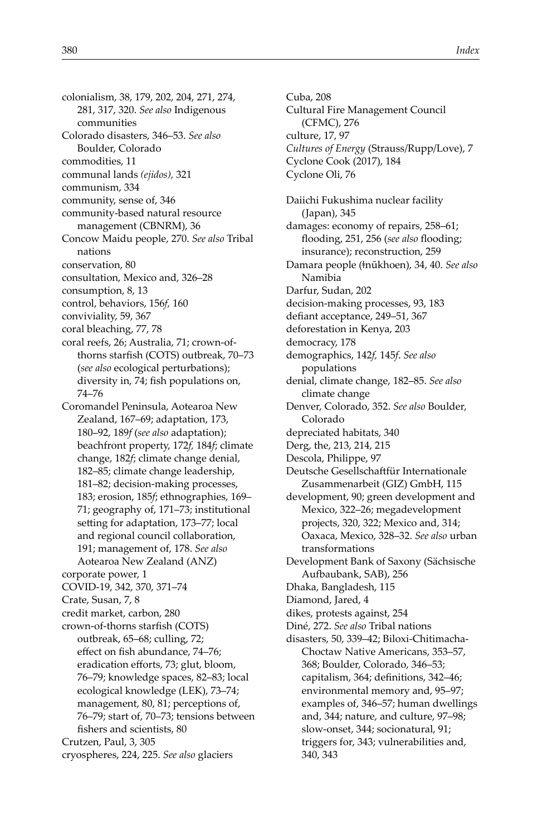colonialism, 38, 179, 202, 204, 271, 274, 281, 317, 320. *See also* Indigenous communities Colorado disasters, 346–53. *See also* Boulder, Colorado

commodities, 11

communal lands *(ejidos),* 321

communism, 334

community, sense of, 346

community-based natural resource management (CBNRM), 36

Concow Maidu people, 270. *See also* Tribal nations

conservation, 80

consultation, Mexico and, 326–28

consumption, 8, 13

control, behaviors, 156*f,* 160

conviviality, 59, 367

coral bleaching, 77, 78

- coral reefs, 26; Australia, 71; crown-ofthorns starfish (COTS) outbreak, 70-73 (*see also* ecological perturbations); diversity in, 74; fish populations on, 74–76
- Coromandel Peninsula, Aotearoa New Zealand, 167–69; adaptation, 173, 180–92, 189*f* (*see also* adaptation); beachfront property, 172*f,* 184*f*; climate change, 182*f*; climate change denial, 182–85; climate change leadership, 181–82; decision-making processes, 183; erosion, 185*f*; ethnographies, 169– 71; geography of, 171–73; institutional setting for adaptation, 173–77; local and regional council collaboration, 191; management of, 178. *See also* Aotearoa New Zealand (ANZ)
- corporate power, 1
- COVID-19, 342, 370, 371–74
- Crate, Susan, 7, 8
- credit market, carbon, 280

crown-of-thorns starfish (COTS) outbreak, 65–68; culling, 72; effect on fish abundance, 74-76; eradication efforts, 73; glut, bloom, 76–79; knowledge spaces, 82–83; local ecological knowledge (LEK), 73–74; management, 80, 81; perceptions of, 76–79; start of, 70–73; tensions between fishers and scientists, 80 Crutzen, Paul, 3, 305

cryospheres, 224, 225. *See also* glaciers

Cuba, 208 Cultural Fire Management Council (CFMC), 276 culture, 17, 97 *Cultures of Energy* (Strauss/Rupp/Love), 7 Cyclone Cook (2017), 184 Cyclone Oli, 76 Daiichi Fukushima nuclear facility (Japan), 345 damages: economy of repairs, 258–61; flooding, 251, 256 (see also flooding; insurance); reconstruction, 259 Damara people (ǂnūkhoen), 34, 40. *See also* Namibia Darfur, Sudan, 202 decision-making processes, 93, 183 defiant acceptance, 249-51, 367 deforestation in Kenya, 203 democracy, 178 demographics, 142*f,* 145*f*. *See also* populations denial, climate change, 182–85. *See also* climate change Denver, Colorado, 352. *See also* Boulder, Colorado depreciated habitats, 340 Derg, the, 213, 214, 215 Descola, Philippe, 97 Deutsche Gesellschaftfür Internationale Zusammenarbeit (GIZ) GmbH, 115 development, 90; green development and Mexico, 322–26; megadevelopment projects, 320, 322; Mexico and, 314; Oaxaca, Mexico, 328–32. *See also* urban transformations Development Bank of Saxony (Sächsische Aufbaubank, SAB), 256 Dhaka, Bangladesh, 115 Diamond, Jared, 4 dikes, protests against, 254 Diné, 272. *See also* Tribal nations disasters, 50, 339–42; Biloxi-Chitimacha-Choctaw Native Americans, 353–57, 368; Boulder, Colorado, 346–53; capitalism, 364; definitions, 342-46; environmental memory and, 95–97; examples of, 346–57; human dwellings and, 344; nature, and culture, 97–98; slow-onset, 344; socionatural, 91; triggers for, 343; vulnerabilities and, 340, 343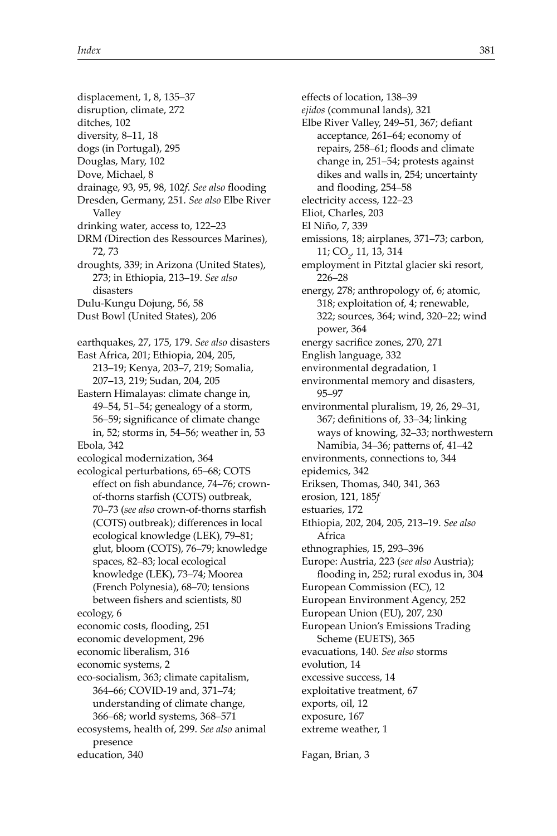displacement, 1, 8, 135–37 disruption, climate, 272 ditches, 102 diversity, 8–11, 18 dogs (in Portugal), 295 Douglas, Mary, 102 Dove, Michael, 8 drainage, 93, 95, 98, 102f. See also flooding Dresden, Germany, 251. *See also* Elbe River Valley drinking water, access to, 122–23 DRM *(*Direction des Ressources Marines), 72, 73 droughts, 339; in Arizona (United States), 273; in Ethiopia, 213–19. *See also* disasters Dulu-Kungu Dojung, 56, 58 Dust Bowl (United States), 206 earthquakes, 27, 175, 179. *See also* disasters East Africa, 201; Ethiopia, 204, 205, 213–19; Kenya, 203–7, 219; Somalia, 207–13, 219; Sudan, 204, 205 Eastern Himalayas: climate change in, 49–54, 51–54; genealogy of a storm, 56–59; significance of climate change in, 52; storms in, 54–56; weather in, 53 Ebola, 342 ecological modernization, 364 ecological perturbations, 65–68; COTS effect on fish abundance, 74-76; crownof-thorns starfish (COTS) outbreak, 70-73 (see also crown-of-thorns starfish (COTS) outbreak); differences in local ecological knowledge (LEK), 79–81; glut, bloom (COTS), 76–79; knowledge spaces, 82–83; local ecological knowledge (LEK), 73–74; Moorea (French Polynesia), 68–70; tensions between fishers and scientists, 80 ecology, 6 economic costs, flooding, 251 economic development, 296 economic liberalism, 316 economic systems, 2 eco-socialism, 363; climate capitalism, 364–66; COVID-19 and, 371–74; understanding of climate change, 366–68; world systems, 368–571 ecosystems, health of, 299. *See also* animal presence education, 340

effects of location, 138-39 *ejidos* (communal lands), 321 Elbe River Valley, 249-51, 367; defiant acceptance, 261–64; economy of repairs, 258-61; floods and climate change in, 251–54; protests against dikes and walls in, 254; uncertainty and flooding, 254-58 electricity access, 122–23 Eliot, Charles, 203 El Niño, 7, 339 emissions, 18; airplanes, 371–73; carbon, 11; CO<sub>2</sub>, 11, 13, 314 employment in Pitztal glacier ski resort, 226–28 energy, 278; anthropology of, 6; atomic, 318; exploitation of, 4; renewable, 322; sources, 364; wind, 320–22; wind power, 364 energy sacrifice zones, 270, 271 English language, 332 environmental degradation, 1 environmental memory and disasters, 95–97 environmental pluralism, 19, 26, 29–31, 367; definitions of, 33-34; linking ways of knowing, 32–33; northwestern Namibia, 34–36; patterns of, 41–42 environments, connections to, 344 epidemics, 342 Eriksen, Thomas, 340, 341, 363 erosion, 121, 185*f* estuaries, 172 Ethiopia, 202, 204, 205, 213–19. *See also* Africa ethnographies, 15, 293–396 Europe: Austria, 223 (*see also* Austria); flooding in, 252; rural exodus in, 304 European Commission (EC), 12 European Environment Agency, 252 European Union (EU), 207, 230 European Union's Emissions Trading Scheme (EUETS), 365 evacuations, 140. *See also* storms evolution, 14 excessive success, 14 exploitative treatment, 67 exports, oil, 12 exposure, 167 extreme weather, 1 Fagan, Brian, 3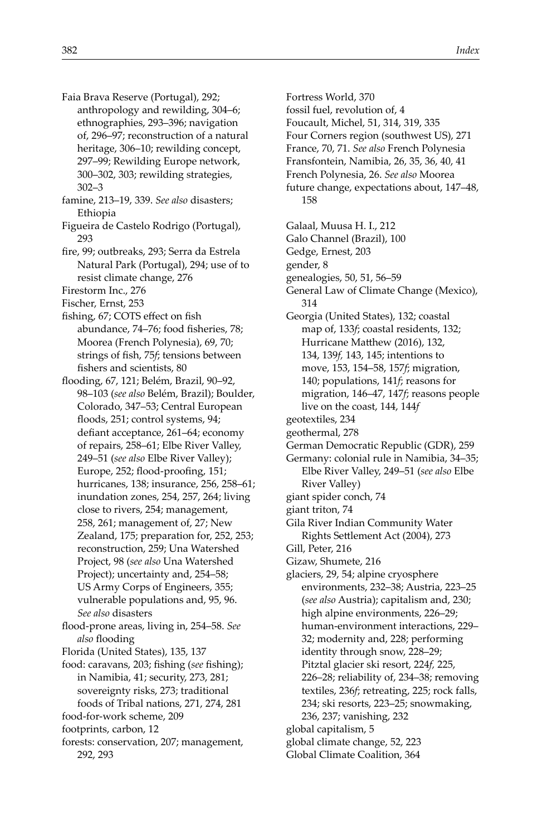- Faia Brava Reserve (Portugal), 292; anthropology and rewilding, 304–6; ethnographies, 293–396; navigation of, 296–97; reconstruction of a natural heritage, 306–10; rewilding concept, 297–99; Rewilding Europe network, 300–302, 303; rewilding strategies, 302–3
- famine, 213–19, 339. *See also* disasters; Ethiopia
- Figueira de Castelo Rodrigo (Portugal), 293
- fire, 99; outbreaks, 293; Serra da Estrela Natural Park (Portugal), 294; use of to resist climate change, 276
- Firestorm Inc., 276
- Fischer, Ernst, 253
- fishing, 67; COTS effect on fish abundance, 74-76; food fisheries, 78; Moorea (French Polynesia), 69, 70; strings of fish, 75*f*; tensions between fishers and scientists, 80
- flooding, 67, 121; Belém, Brazil, 90-92, 98–103 (*see also* Belém, Brazil); Boulder, Colorado, 347–53; Central European floods, 251; control systems, 94; defiant acceptance, 261-64; economy of repairs, 258–61; Elbe River Valley, 249–51 (*see also* Elbe River Valley); Europe, 252; flood-proofing, 151; hurricanes, 138; insurance, 256, 258–61; inundation zones, 254, 257, 264; living close to rivers, 254; management, 258, 261; management of, 27; New Zealand, 175; preparation for, 252, 253; reconstruction, 259; Una Watershed Project, 98 (*see also* Una Watershed Project); uncertainty and, 254–58; US Army Corps of Engineers, 355; vulnerable populations and, 95, 96. *See also* disasters
- flood-prone areas, living in, 254-58. See also flooding
- Florida (United States), 135, 137
- food: caravans, 203; fishing (see fishing); in Namibia, 41; security, 273, 281; sovereignty risks, 273; traditional foods of Tribal nations, 271, 274, 281
- food-for-work scheme, 209
- footprints, carbon, 12
- forests: conservation, 207; management, 292, 293
- Fortress World, 370
- fossil fuel, revolution of, 4
- Foucault, Michel, 51, 314, 319, 335
- Four Corners region (southwest US), 271
- France, 70, 71. *See also* French Polynesia
- Fransfontein, Namibia, 26, 35, 36, 40, 41
- French Polynesia, 26. *See also* Moorea future change, expectations about, 147–48, 158
- Galaal, Muusa H. I., 212
- Galo Channel (Brazil), 100
- Gedge, Ernest, 203
- gender, 8
- genealogies, 50, 51, 56–59
- General Law of Climate Change (Mexico), 314
- Georgia (United States), 132; coastal map of, 133*f*; coastal residents, 132; Hurricane Matthew (2016), 132, 134, 139*f,* 143, 145; intentions to move, 153, 154–58, 157*f*; migration, 140; populations, 141*f*; reasons for migration, 146–47, 147*f*; reasons people live on the coast, 144, 144*f*
- geotextiles, 234
- geothermal, 278
- German Democratic Republic (GDR), 259
- Germany: colonial rule in Namibia, 34–35; Elbe River Valley, 249–51 (*see also* Elbe River Valley)
- giant spider conch, 74
- giant triton, 74
- Gila River Indian Community Water Rights Settlement Act (2004), 273
- Gill, Peter, 216
- Gizaw, Shumete, 216
- glaciers, 29, 54; alpine cryosphere environments, 232–38; Austria, 223–25 (*see also* Austria); capitalism and, 230; high alpine environments, 226–29; human-environment interactions, 229– 32; modernity and, 228; performing identity through snow, 228–29; Pitztal glacier ski resort, 224*f,* 225, 226–28; reliability of, 234–38; removing textiles, 236*f*; retreating, 225; rock falls, 234; ski resorts, 223–25; snowmaking,
- 236, 237; vanishing, 232
- global capitalism, 5
- global climate change, 52, 223
	- Global Climate Coalition, 364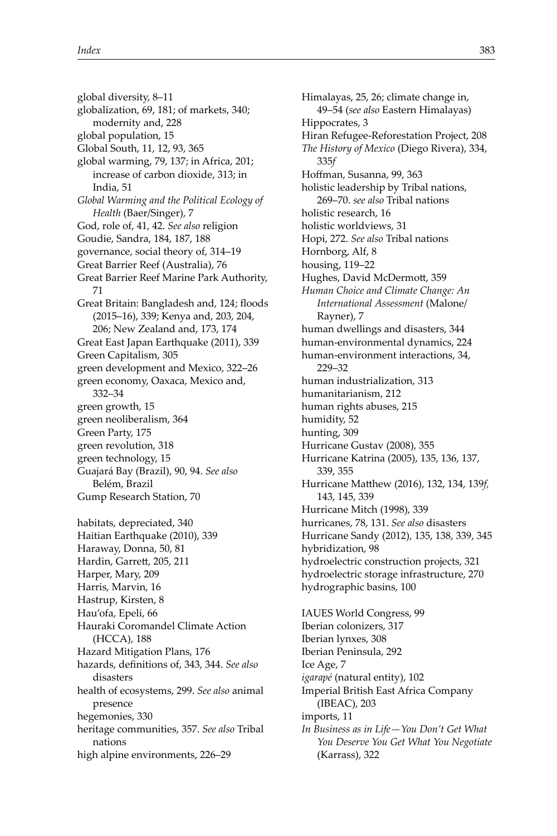global diversity, 8–11 globalization, 69, 181; of markets, 340; modernity and, 228 global population, 15 Global South, 11, 12, 93, 365 global warming, 79, 137; in Africa, 201; increase of carbon dioxide, 313; in India, 51 *Global Warming and the Political Ecology of Health* (Baer/Singer), 7 God, role of, 41, 42. *See also* religion Goudie, Sandra, 184, 187, 188 governance, social theory of, 314–19 Great Barrier Reef (Australia), 76 Great Barrier Reef Marine Park Authority, 71 Great Britain: Bangladesh and, 124; floods (2015–16), 339; Kenya and, 203, 204, 206; New Zealand and, 173, 174 Great East Japan Earthquake (2011), 339 Green Capitalism, 305 green development and Mexico, 322–26 green economy, Oaxaca, Mexico and, 332–34 green growth, 15 green neoliberalism, 364 Green Party, 175 green revolution, 318 green technology, 15 Guajará Bay (Brazil), 90, 94. *See also* Belém, Brazil Gump Research Station, 70 habitats, depreciated, 340 Haitian Earthquake (2010), 339 Haraway, Donna, 50, 81 Hardin, Garrett, 205, 211 Harper, Mary, 209 Harris, Marvin, 16 Hastrup, Kirsten, 8 Hau'ofa, Epeli, 66 Hauraki Coromandel Climate Action (HCCA), 188 Hazard Mitigation Plans, 176 hazards, defi nitions of, 343, 344. *See also* disasters health of ecosystems, 299. *See also* animal presence hegemonies, 330 heritage communities, 357. *See also* Tribal nations high alpine environments, 226–29

Himalayas, 25, 26; climate change in, 49–54 (*see also* Eastern Himalayas) Hippocrates, 3 Hiran Refugee-Reforestation Project, 208 *The History of Mexico* (Diego Rivera), 334, 335*f* Hoffman, Susanna, 99, 363 holistic leadership by Tribal nations, 269–70. *see also* Tribal nations holistic research, 16 holistic worldviews, 31 Hopi, 272. *See also* Tribal nations Hornborg, Alf, 8 housing, 119–22 Hughes, David McDermott, 359 *Human Choice and Climate Change: An International Assessment* (Malone/ Rayner), 7 human dwellings and disasters, 344 human-environmental dynamics, 224 human-environment interactions, 34, 229–32 human industrialization, 313 humanitarianism, 212 human rights abuses, 215 humidity, 52 hunting, 309 Hurricane Gustav (2008), 355 Hurricane Katrina (2005), 135, 136, 137, 339, 355 Hurricane Matthew (2016), 132, 134, 139f, 143, 145, 339 Hurricane Mitch (1998), 339 hurricanes, 78, 131. *See also* disasters Hurricane Sandy (2012), 135, 138, 339, 345 hybridization, 98 hydroelectric construction projects, 321 hydroelectric storage infrastructure, 270 hydrographic basins, 100 IAUES World Congress, 99 Iberian colonizers, 317 Iberian lynxes, 308 Iberian Peninsula, 292 Ice Age, 7 *igarapé* (natural entity), 102 Imperial British East Africa Company (IBEAC), 203 imports, 11 *In Business as in Life—You Don't Get What You Deserve You Get What You Negotiate* (Karrass), 322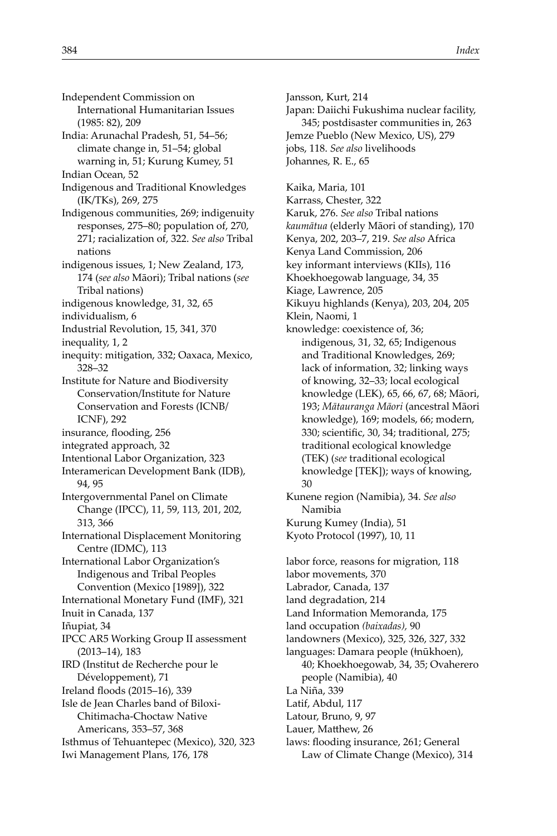- Independent Commission on International Humanitarian Issues (1985: 82), 209
- India: Arunachal Pradesh, 51, 54–56; climate change in, 51–54; global warning in, 51; Kurung Kumey, 51 Indian Ocean, 52
- Indigenous and Traditional Knowledges (IK/TKs), 269, 275
- Indigenous communities, 269; indigenuity responses, 275–80; population of, 270, 271; racialization of, 322. *See also* Tribal nations
- indigenous issues, 1; New Zealand, 173, 174 (*see also* Māori); Tribal nations (*see* Tribal nations)
- indigenous knowledge, 31, 32, 65
- individualism, 6
- Industrial Revolution, 15, 341, 370
- inequality, 1, 2
- inequity: mitigation, 332; Oaxaca, Mexico, 328–32
- Institute for Nature and Biodiversity Conservation/Institute for Nature Conservation and Forests (ICNB/ ICNF), 292
- insurance, flooding, 256
- integrated approach, 32
- Intentional Labor Organization, 323
- Interamerican Development Bank (IDB), 94, 95
- Intergovernmental Panel on Climate Change (IPCC), 11, 59, 113, 201, 202, 313, 366
- International Displacement Monitoring Centre (IDMC), 113
- International Labor Organization's Indigenous and Tribal Peoples Convention (Mexico [1989]), 322
- International Monetary Fund (IMF), 321
- Inuit in Canada, 137
- Iñupiat, 34
- IPCC AR5 Working Group II assessment (2013–14), 183 IRD (Institut de Recherche pour le Développement), 71
- Ireland floods (2015–16), 339
- Isle de Jean Charles band of Biloxi-Chitimacha-Choctaw Native
- Americans, 353–57, 368
- Isthmus of Tehuantepec (Mexico), 320, 323 Iwi Management Plans, 176, 178

Jansson, Kurt, 214 Japan: Daiichi Fukushima nuclear facility, 345; postdisaster communities in, 263 Jemze Pueblo (New Mexico, US), 279 jobs, 118. *See also* livelihoods Johannes, R. E., 65

- Kaika, Maria, 101 Karrass, Chester, 322 Karuk, 276. *See also* Tribal nations *kaumātua* (elderly Māori of standing), 170 Kenya, 202, 203–7, 219. *See also* Africa Kenya Land Commission, 206 key informant interviews (KIIs), 116 Khoekhoegowab language, 34, 35 Kiage, Lawrence, 205 Kikuyu highlands (Kenya), 203, 204, 205 Klein, Naomi, 1 knowledge: coexistence of, 36; indigenous, 31, 32, 65; Indigenous and Traditional Knowledges, 269; lack of information, 32; linking ways of knowing, 32–33; local ecological knowledge (LEK), 65, 66, 67, 68; Māori, 193; *Mātauranga Māori* (ancestral Māori knowledge), 169; models, 66; modern, 330; scientific, 30, 34; traditional, 275; traditional ecological knowledge (TEK) (*see* traditional ecological knowledge [TEK]); ways of knowing, 30
- Kunene region (Namibia), 34. *See also* Namibia Kurung Kumey (India), 51
- Kyoto Protocol (1997), 10, 11
- labor force, reasons for migration, 118 labor movements, 370 Labrador, Canada, 137 land degradation, 214 Land Information Memoranda, 175 land occupation *(baixadas),* 90 landowners (Mexico), 325, 326, 327, 332 languages: Damara people (ǂnūkhoen), 40; Khoekhoegowab, 34, 35; Ovaherero people (Namibia), 40 La Niña, 339 Latif, Abdul, 117
- Latour, Bruno, 9, 97
- Lauer, Matthew, 26
- laws: flooding insurance, 261; General Law of Climate Change (Mexico), 314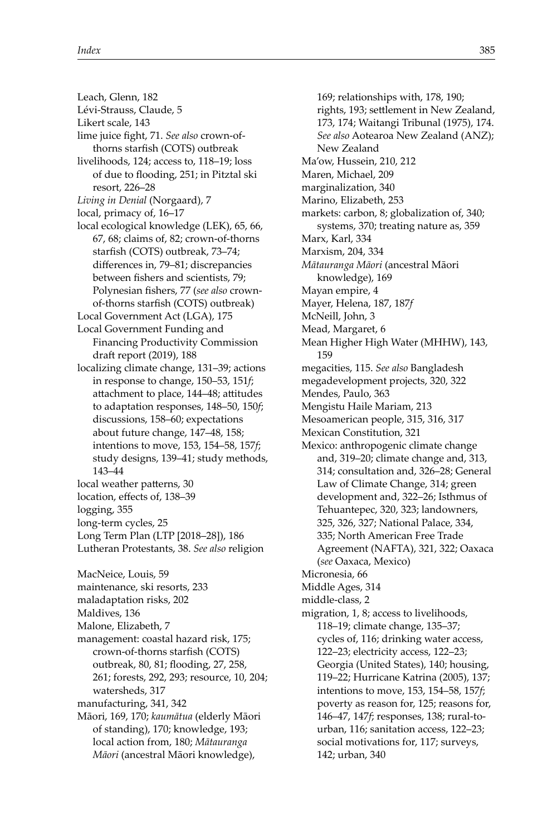- Leach, Glenn, 182
- Lévi-Strauss, Claude, 5
- Likert scale, 143
- lime juice fight, 71. See also crown-ofthorns starfish (COTS) outbreak livelihoods, 124; access to, 118–19; loss
- of due to flooding, 251; in Pitztal ski resort, 226–28
- *Living in Denial* (Norgaard), 7
- local, primacy of, 16–17
- local ecological knowledge (LEK), 65, 66, 67, 68; claims of, 82; crown-of-thorns starfish (COTS) outbreak, 73-74; differences in, 79–81; discrepancies between fishers and scientists, 79; Polynesian fishers, 77 (see also crownof-thorns starfish (COTS) outbreak)
- Local Government Act (LGA), 175
- Local Government Funding and Financing Productivity Commission draft report (2019), 188
- localizing climate change, 131–39; actions in response to change, 150–53, 151*f*; attachment to place, 144–48; attitudes to adaptation responses, 148–50, 150*f*; discussions, 158–60; expectations about future change, 147–48, 158; intentions to move, 153, 154–58, 157*f*; study designs, 139–41; study methods, 143–44
- local weather patterns, 30
- location, effects of, 138-39
- logging, 355
- long-term cycles, 25
- Long Term Plan (LTP [2018–28]), 186
- Lutheran Protestants, 38. *See also* religion
- MacNeice, Louis, 59
- maintenance, ski resorts, 233
- maladaptation risks, 202
- Maldives, 136
- Malone, Elizabeth, 7
- management: coastal hazard risk, 175; crown-of-thorns starfish (COTS) outbreak, 80, 81; flooding, 27, 258, 261; forests, 292, 293; resource, 10, 204; watersheds, 317
- manufacturing, 341, 342
- Māori, 169, 170; *kaumātua* (elderly Māori of standing), 170; knowledge, 193; local action from, 180; *Mātauranga Māori* (ancestral Māori knowledge),

169; relationships with, 178, 190; rights, 193; settlement in New Zealand, 173, 174; Waitangi Tribunal (1975), 174. *See also* Aotearoa New Zealand (ANZ); New Zealand Ma'ow, Hussein, 210, 212 Maren, Michael, 209 marginalization, 340 Marino, Elizabeth, 253 markets: carbon, 8; globalization of, 340; systems, 370; treating nature as, 359 Marx, Karl, 334 Marxism, 204, 334 *Mātauranga Māori* (ancestral Māori knowledge), 169 Mayan empire, 4 Mayer, Helena, 187, 187*f* McNeill, John, 3 Mead, Margaret, 6 Mean Higher High Water (MHHW), 143, 159 megacities, 115. *See also* Bangladesh megadevelopment projects, 320, 322 Mendes, Paulo, 363 Mengistu Haile Mariam, 213 Mesoamerican people, 315, 316, 317 Mexican Constitution, 321 Mexico: anthropogenic climate change and, 319–20; climate change and, 313, 314; consultation and, 326–28; General Law of Climate Change, 314; green development and, 322–26; Isthmus of Tehuantepec, 320, 323; landowners, 325, 326, 327; National Palace, 334, 335; North American Free Trade Agreement (NAFTA), 321, 322; Oaxaca (*see* Oaxaca, Mexico) Micronesia, 66 Middle Ages, 314 middle-class, 2 migration, 1, 8; access to livelihoods, 118–19; climate change, 135–37; cycles of, 116; drinking water access, 122–23; electricity access, 122–23; Georgia (United States), 140; housing, 119–22; Hurricane Katrina (2005), 137; intentions to move, 153, 154–58, 157*f*; poverty as reason for, 125; reasons for, 146–47, 147*f*; responses, 138; rural-tourban, 116; sanitation access, 122–23; social motivations for, 117; surveys, 142; urban, 340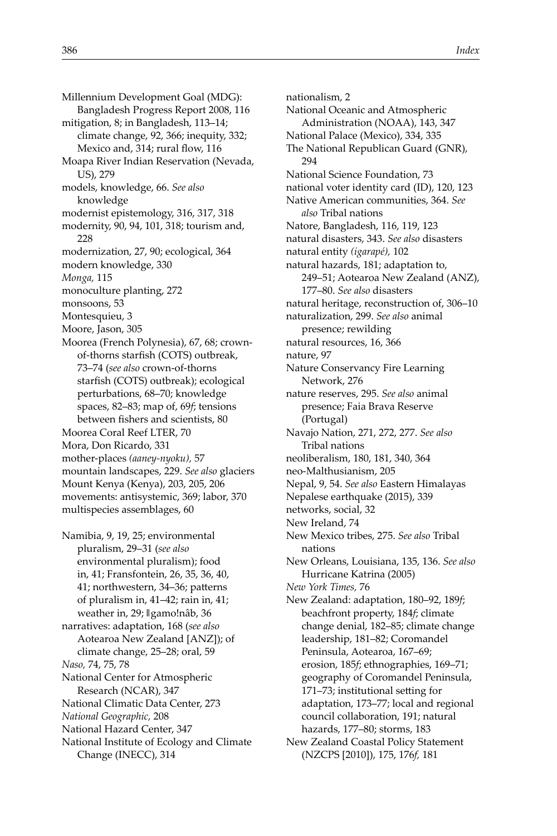Millennium Development Goal (MDG): Bangladesh Progress Report 2008, 116 mitigation, 8; in Bangladesh, 113–14; climate change, 92, 366; inequity, 332; Mexico and, 314; rural flow, 116 Moapa River Indian Reservation (Nevada, US), 279 models, knowledge, 66. *See also* knowledge modernist epistemology, 316, 317, 318 modernity, 90, 94, 101, 318; tourism and, 228 modernization, 27, 90; ecological, 364 modern knowledge, 330 *Monga,* 115 monoculture planting, 272 monsoons, 53 Montesquieu, 3 Moore, Jason, 305 Moorea (French Polynesia), 67, 68; crownof-thorns starfish (COTS) outbreak, 73–74 (*see also* crown-of-thorns starfish (COTS) outbreak); ecological perturbations, 68–70; knowledge spaces, 82–83; map of, 69*f*; tensions between fishers and scientists, 80 Moorea Coral Reef LTER, 70 Mora, Don Ricardo, 331 mother-places *(aaney-nyoku),* 57 mountain landscapes, 229. *See also* glaciers Mount Kenya (Kenya), 203, 205, 206 movements: antisystemic, 369; labor, 370 multispecies assemblages, 60 Namibia, 9, 19, 25; environmental pluralism, 29–31 (*see also* environmental pluralism); food in, 41; Fransfontein, 26, 35, 36, 40, 41; northwestern, 34–36; patterns of pluralism in, 41–42; rain in, 41; weather in, 29; ǁgamo!nâb, 36

narratives: adaptation, 168 (*see also* Aotearoa New Zealand [ANZ]); of climate change, 25–28; oral, 59 *Naso,* 74, 75, 78 National Center for Atmospheric Research (NCAR), 347

National Climatic Data Center, 273

*National Geographic,* 208

National Hazard Center, 347

National Institute of Ecology and Climate Change (INECC), 314

nationalism, 2 National Oceanic and Atmospheric Administration (NOAA), 143, 347 National Palace (Mexico), 334, 335 The National Republican Guard (GNR), 294 National Science Foundation, 73 national voter identity card (ID), 120, 123 Native American communities, 364. *See also* Tribal nations Natore, Bangladesh, 116, 119, 123 natural disasters, 343. *See also* disasters natural entity *(igarapé),* 102 natural hazards, 181; adaptation to, 249–51; Aotearoa New Zealand (ANZ), 177–80. *See also* disasters natural heritage, reconstruction of, 306–10 naturalization, 299. *See also* animal presence; rewilding natural resources, 16, 366 nature, 97 Nature Conservancy Fire Learning Network, 276 nature reserves, 295. *See also* animal presence; Faia Brava Reserve (Portugal) Navajo Nation, 271, 272, 277. *See also* Tribal nations neoliberalism, 180, 181, 340, 364 neo-Malthusianism, 205 Nepal, 9, 54. *See also* Eastern Himalayas Nepalese earthquake (2015), 339 networks, social, 32 New Ireland, 74 New Mexico tribes, 275. *See also* Tribal nations New Orleans, Louisiana, 135, 136. *See also* Hurricane Katrina (2005) *New York Times,* 76 New Zealand: adaptation, 180–92, 189*f*; beachfront property, 184*f*; climate change denial, 182–85; climate change leadership, 181–82; Coromandel Peninsula, Aotearoa, 167–69; erosion, 185*f*; ethnographies, 169–71; geography of Coromandel Peninsula, 171–73; institutional setting for adaptation, 173–77; local and regional council collaboration, 191; natural hazards, 177–80; storms, 183 New Zealand Coastal Policy Statement (NZCPS [2010]), 175, 176*f,* 181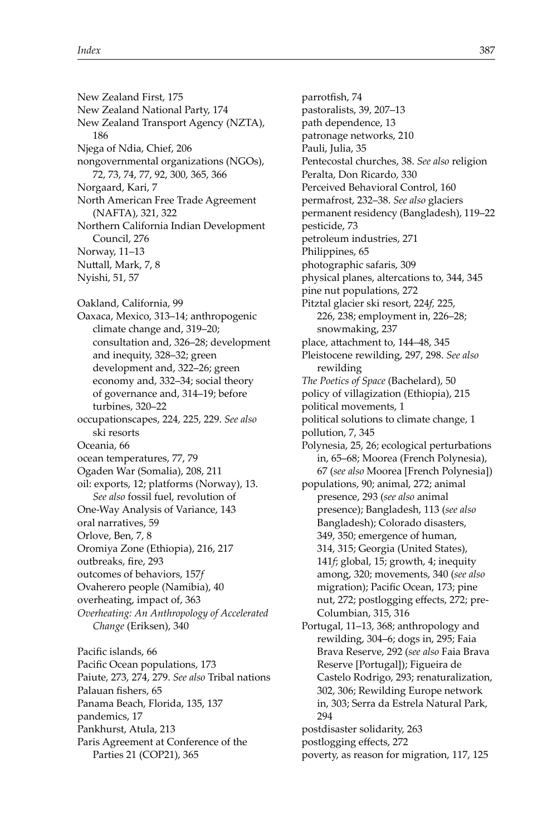New Zealand First, 175 New Zealand National Party, 174 New Zealand Transport Agency (NZTA), 186 Njega of Ndia, Chief, 206 nongovernmental organizations (NGOs), 72, 73, 74, 77, 92, 300, 365, 366 Norgaard, Kari, 7 North American Free Trade Agreement (NAFTA), 321, 322 Northern California Indian Development Council, 276 Norway, 11–13 Nuttall, Mark, 7, 8 Nyishi, 51, 57 Oakland, California, 99 Oaxaca, Mexico, 313–14; anthropogenic climate change and, 319–20; consultation and, 326–28; development and inequity, 328–32; green development and, 322–26; green economy and, 332–34; social theory of governance and, 314–19; before turbines, 320–22 occupationscapes, 224, 225, 229. *See also* ski resorts Oceania, 66 ocean temperatures, 77, 79 Ogaden War (Somalia), 208, 211 oil: exports, 12; platforms (Norway), 13. *See also* fossil fuel, revolution of One-Way Analysis of Variance, 143 oral narratives, 59 Orlove, Ben, 7, 8 Oromiya Zone (Ethiopia), 216, 217 outbreaks, fire, 293 outcomes of behaviors, 157*f* Ovaherero people (Namibia), 40 overheating, impact of, 363 *Overheating: An Anthropology of Accelerated Change* (Eriksen), 340 Pacific islands, 66 Pacific Ocean populations, 173 Paiute, 273, 274, 279. *See also* Tribal nations Palauan fishers, 65 Panama Beach, Florida, 135, 137 pandemics, 17

Pankhurst, Atula, 213

Paris Agreement at Conference of the Parties 21 (COP21), 365

parrotfish, 74 pastoralists, 39, 207–13 path dependence, 13 patronage networks, 210 Pauli, Julia, 35 Pentecostal churches, 38. *See also* religion Peralta, Don Ricardo, 330 Perceived Behavioral Control, 160 permafrost, 232–38. *See also* glaciers permanent residency (Bangladesh), 119–22 pesticide, 73 petroleum industries, 271 Philippines, 65 photographic safaris, 309 physical planes, altercations to, 344, 345 pine nut populations, 272 Pitztal glacier ski resort, 224*f,* 225, 226, 238; employment in, 226–28; snowmaking, 237 place, attachment to, 144–48, 345 Pleistocene rewilding, 297, 298. *See also* rewilding *The Poetics of Space* (Bachelard), 50 policy of villagization (Ethiopia), 215 political movements, 1 political solutions to climate change, 1 pollution, 7, 345 Polynesia, 25, 26; ecological perturbations in, 65–68; Moorea (French Polynesia), 67 (*see also* Moorea [French Polynesia]) populations, 90; animal, 272; animal presence, 293 (*see also* animal presence); Bangladesh, 113 (*see also* Bangladesh); Colorado disasters, 349, 350; emergence of human, 314, 315; Georgia (United States), 141*f*; global, 15; growth, 4; inequity among, 320; movements, 340 (*see also* migration); Pacific Ocean, 173; pine nut, 272; postlogging effects, 272; pre-Columbian, 315, 316 Portugal, 11–13, 368; anthropology and rewilding, 304–6; dogs in, 295; Faia Brava Reserve, 292 (*see also* Faia Brava Reserve [Portugal]); Figueira de Castelo Rodrigo, 293; renaturalization, 302, 306; Rewilding Europe network in, 303; Serra da Estrela Natural Park, 294 postdisaster solidarity, 263 postlogging effects, 272

poverty, as reason for migration, 117, 125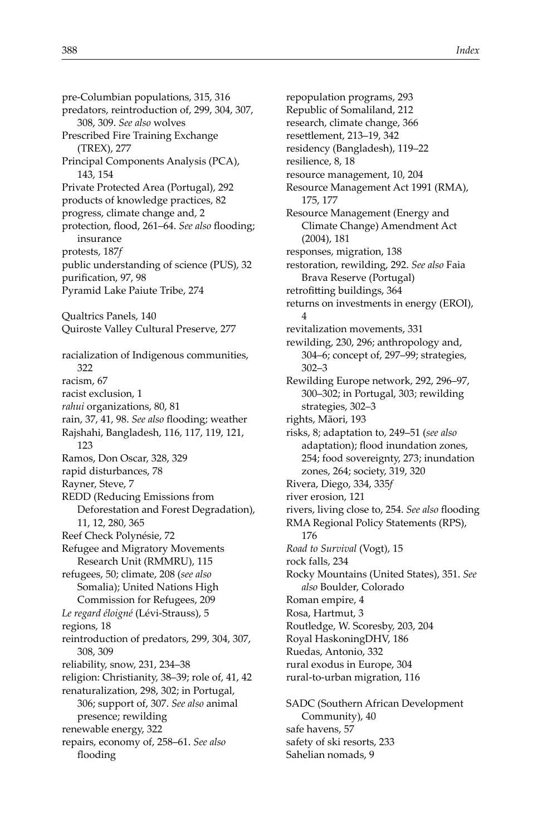pre-Columbian populations, 315, 316 predators, reintroduction of, 299, 304, 307, 308, 309. *See also* wolves Prescribed Fire Training Exchange (TREX), 277 Principal Components Analysis (PCA), 143, 154 Private Protected Area (Portugal), 292 products of knowledge practices, 82 progress, climate change and, 2 protection, flood, 261-64. See also flooding; insurance protests, 187*f* public understanding of science (PUS), 32 purification, 97, 98 Pyramid Lake Paiute Tribe, 274 Qualtrics Panels, 140 Quiroste Valley Cultural Preserve, 277 racialization of Indigenous communities, 322 racism, 67 racist exclusion, 1 *rahui* organizations, 80, 81 rain, 37, 41, 98. See also flooding; weather Rajshahi, Bangladesh, 116, 117, 119, 121, 123 Ramos, Don Oscar, 328, 329 rapid disturbances, 78 Rayner, Steve, 7 REDD (Reducing Emissions from Deforestation and Forest Degradation), 11, 12, 280, 365 Reef Check Polynésie, 72 Refugee and Migratory Movements Research Unit (RMMRU), 115 refugees, 50; climate, 208 (*see also* Somalia); United Nations High Commission for Refugees, 209 *Le regard éloigné* (Lévi-Strauss), 5 regions, 18 reintroduction of predators, 299, 304, 307, 308, 309 reliability, snow, 231, 234–38 religion: Christianity, 38–39; role of, 41, 42 renaturalization, 298, 302; in Portugal, 306; support of, 307. *See also* animal presence; rewilding renewable energy, 322 repairs, economy of, 258–61. *See also* flooding

repopulation programs, 293 Republic of Somaliland, 212 research, climate change, 366 resettlement, 213-19, 342 residency (Bangladesh), 119–22 resilience, 8, 18 resource management, 10, 204 Resource Management Act 1991 (RMA), 175, 177 Resource Management (Energy and Climate Change) Amendment Act (2004), 181 responses, migration, 138 restoration, rewilding, 292. *See also* Faia Brava Reserve (Portugal) retrofitting buildings, 364 returns on investments in energy (EROI), 4 revitalization movements, 331 rewilding, 230, 296; anthropology and, 304–6; concept of, 297–99; strategies, 302–3 Rewilding Europe network, 292, 296–97, 300–302; in Portugal, 303; rewilding strategies, 302–3 rights, Māori, 193 risks, 8; adaptation to, 249–51 (*see also* adaptation); flood inundation zones, 254; food sovereignty, 273; inundation zones, 264; society, 319, 320 Rivera, Diego, 334, 335*f* river erosion, 121 rivers, living close to, 254. See also flooding RMA Regional Policy Statements (RPS), 176 *Road to Survival* (Vogt), 15 rock falls, 234 Rocky Mountains (United States), 351. *See also* Boulder, Colorado Roman empire, 4 Rosa, Hartmut, 3 Routledge, W. Scoresby, 203, 204 Royal HaskoningDHV, 186 Ruedas, Antonio, 332 rural exodus in Europe, 304 rural-to-urban migration, 116 SADC (Southern African Development Community), 40

safe havens, 57 safety of ski resorts, 233 Sahelian nomads, 9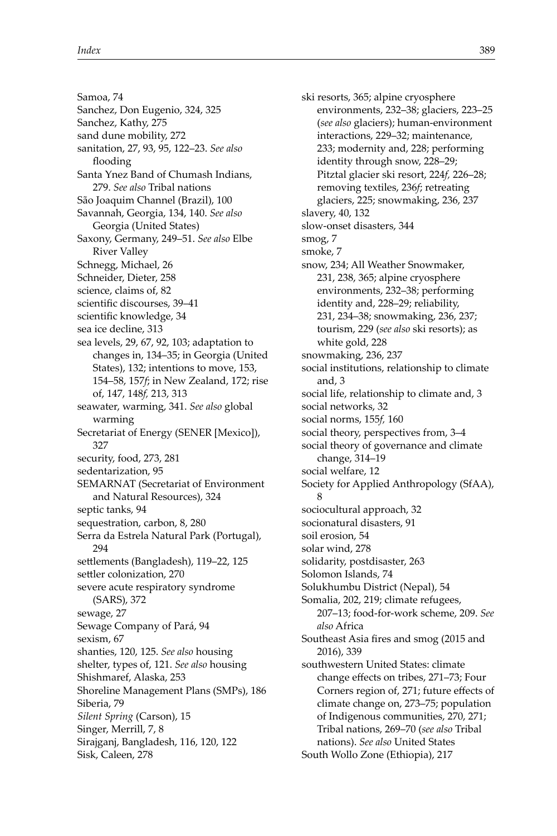Samoa, 74 Sanchez, Don Eugenio, 324, 325 Sanchez, Kathy, 275 sand dune mobility, 272 sanitation, 27, 93, 95, 122–23. *See also* flooding Santa Ynez Band of Chumash Indians, 279. *See also* Tribal nations São Joaquim Channel (Brazil), 100 Savannah, Georgia, 134, 140. *See also* Georgia (United States) Saxony, Germany, 249–51. *See also* Elbe River Valley Schnegg, Michael, 26 Schneider, Dieter, 258 science, claims of, 82 scientific discourses, 39-41 scientific knowledge, 34 sea ice decline, 313 sea levels, 29, 67, 92, 103; adaptation to changes in, 134–35; in Georgia (United States), 132; intentions to move, 153, 154–58, 157*f*; in New Zealand, 172; rise of, 147, 148*f,* 213, 313 seawater, warming, 341. *See also* global warming Secretariat of Energy (SENER [Mexico]), 327 security, food, 273, 281 sedentarization, 95 SEMARNAT (Secretariat of Environment and Natural Resources), 324 septic tanks, 94 sequestration, carbon, 8, 280 Serra da Estrela Natural Park (Portugal), 294 settlements (Bangladesh), 119–22, 125 settler colonization, 270 severe acute respiratory syndrome (SARS), 372 sewage, 27 Sewage Company of Pará, 94 sexism, 67 shanties, 120, 125. *See also* housing shelter, types of, 121. *See also* housing Shishmaref, Alaska, 253 Shoreline Management Plans (SMPs), 186 Siberia, 79 *Silent Spring* (Carson), 15 Singer, Merrill, 7, 8 Sirajganj, Bangladesh, 116, 120, 122 Sisk, Caleen, 278

ski resorts, 365; alpine cryosphere environments, 232–38; glaciers, 223–25 (*see also* glaciers); human-environment interactions, 229–32; maintenance, 233; modernity and, 228; performing identity through snow, 228–29; Pitztal glacier ski resort, 224*f,* 226–28; removing textiles, 236*f*; retreating glaciers, 225; snowmaking, 236, 237 slavery, 40, 132 slow-onset disasters, 344 smog, 7 smoke, 7 snow, 234; All Weather Snowmaker, 231, 238, 365; alpine cryosphere environments, 232–38; performing identity and, 228–29; reliability, 231, 234–38; snowmaking, 236, 237; tourism, 229 (*see also* ski resorts); as white gold, 228 snowmaking, 236, 237 social institutions, relationship to climate and, 3 social life, relationship to climate and, 3 social networks, 32 social norms, 155*f,* 160 social theory, perspectives from, 3–4 social theory of governance and climate change, 314–19 social welfare, 12 Society for Applied Anthropology (SfAA), 8 sociocultural approach, 32 socionatural disasters, 91 soil erosion, 54 solar wind, 278 solidarity, postdisaster, 263 Solomon Islands, 74 Solukhumbu District (Nepal), 54 Somalia, 202, 219; climate refugees, 207–13; food-for-work scheme, 209. *See also* Africa Southeast Asia fires and smog (2015 and 2016), 339 southwestern United States: climate change effects on tribes, 271-73; Four Corners region of, 271; future effects of climate change on, 273–75; population of Indigenous communities, 270, 271; Tribal nations, 269–70 (*see also* Tribal nations). *See also* United States South Wollo Zone (Ethiopia), 217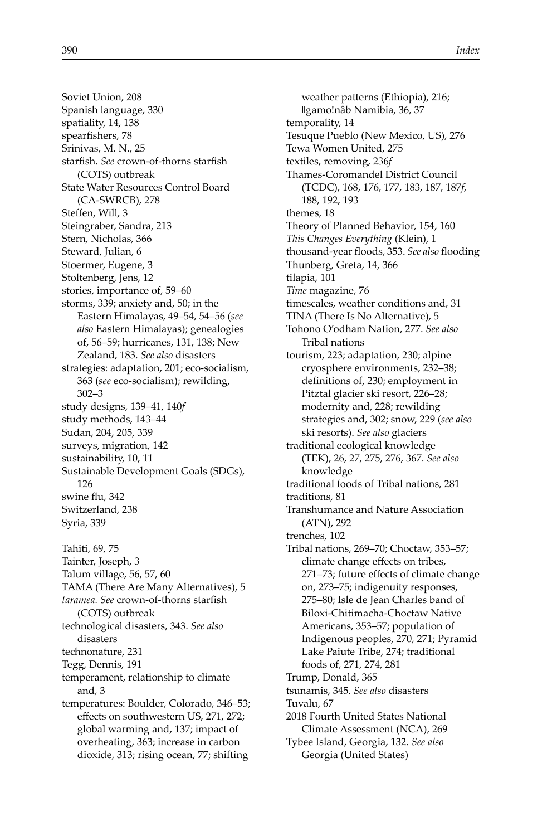Soviet Union, 208 Spanish language, 330 spatiality, 14, 138 spearfishers, 78 Srinivas, M. N., 25 starfish. See crown-of-thorns starfish (COTS) outbreak State Water Resources Control Board (CA-SWRCB), 278 Steffen, Will, 3 Steingraber, Sandra, 213 Stern, Nicholas, 366 Steward, Julian, 6 Stoermer, Eugene, 3 Stoltenberg, Jens, 12 stories, importance of, 59–60 storms, 339; anxiety and, 50; in the Eastern Himalayas, 49–54, 54–56 (*see also* Eastern Himalayas); genealogies of, 56–59; hurricanes, 131, 138; New Zealand, 183. *See also* disasters strategies: adaptation, 201; eco-socialism, 363 (*see* eco-socialism); rewilding, 302–3 study designs, 139–41, 140*f* study methods, 143–44 Sudan, 204, 205, 339 surveys, migration, 142 sustainability, 10, 11 Sustainable Development Goals (SDGs), 126 swine flu, 342 Switzerland, 238 Syria, 339 Tahiti, 69, 75 Tainter, Joseph, 3 Talum village, 56, 57, 60 TAMA (There Are Many Alternatives), 5 taramea. See crown-of-thorns starfish (COTS) outbreak technological disasters, 343. *See also* disasters technonature, 231 Tegg, Dennis, 191 temperament, relationship to climate and, 3 temperatures: Boulder, Colorado, 346–53; effects on southwestern US, 271, 272; global warming and, 137; impact of overheating, 363; increase in carbon dioxide, 313; rising ocean, 77; shifting

weather patterns (Ethiopia), 216; ǁgamo!nâb Namibia, 36, 37 temporality, 14 Tesuque Pueblo (New Mexico, US), 276 Tewa Women United, 275 textiles, removing, 236*f* Thames-Coromandel District Council (TCDC), 168, 176, 177, 183, 187, 187*f,* 188, 192, 193 themes, 18 Theory of Planned Behavior, 154, 160 *This Changes Everything* (Klein), 1 thousand-year floods, 353. See also flooding Thunberg, Greta, 14, 366 tilapia, 101 *Time* magazine, 76 timescales, weather conditions and, 31 TINA (There Is No Alternative), 5 Tohono O'odham Nation, 277. *See also* Tribal nations tourism, 223; adaptation, 230; alpine cryosphere environments, 232–38; definitions of, 230; employment in Pitztal glacier ski resort, 226–28; modernity and, 228; rewilding strategies and, 302; snow, 229 (*see also* ski resorts). *See also* glaciers traditional ecological knowledge (TEK), 26, 27, 275, 276, 367. *See also* knowledge traditional foods of Tribal nations, 281 traditions, 81 Transhumance and Nature Association (ATN), 292 trenches, 102 Tribal nations, 269–70; Choctaw, 353–57; climate change effects on tribes, 271-73; future effects of climate change on, 273–75; indigenuity responses, 275–80; Isle de Jean Charles band of Biloxi-Chitimacha-Choctaw Native Americans, 353–57; population of Indigenous peoples, 270, 271; Pyramid Lake Paiute Tribe, 274; traditional foods of, 271, 274, 281 Trump, Donald, 365 tsunamis, 345. *See also* disasters Tuvalu, 67 2018 Fourth United States National Climate Assessment (NCA), 269 Tybee Island, Georgia, 132. *See also* Georgia (United States)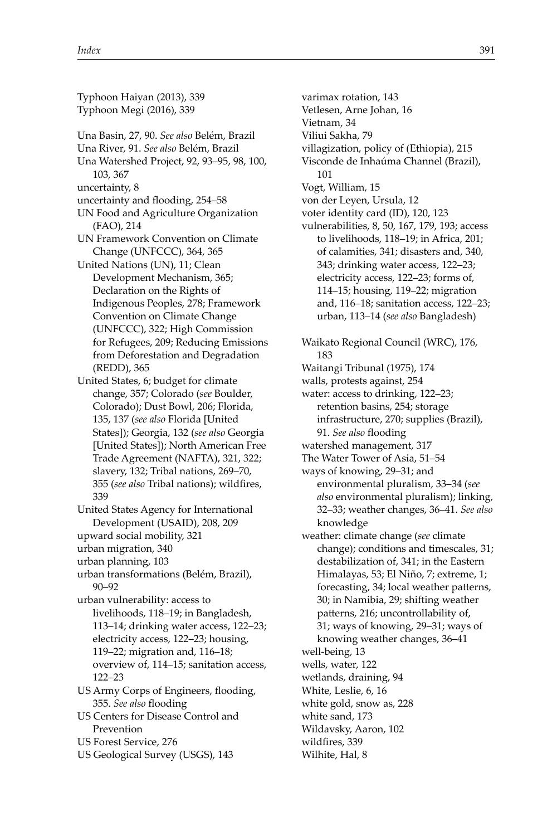Typhoon Haiyan (2013), 339 Typhoon Megi (2016), 339 Una Basin, 27, 90. *See also* Belém, Brazil Una River, 91. *See also* Belém, Brazil Una Watershed Project, 92, 93–95, 98, 100, 103, 367 uncertainty, 8 uncertainty and flooding, 254–58 UN Food and Agriculture Organization (FAO), 214 UN Framework Convention on Climate Change (UNFCCC), 364, 365 United Nations (UN), 11; Clean Development Mechanism, 365; Declaration on the Rights of Indigenous Peoples, 278; Framework Convention on Climate Change (UNFCCC), 322; High Commission for Refugees, 209; Reducing Emissions from Deforestation and Degradation (REDD), 365 United States, 6; budget for climate change, 357; Colorado (*see* Boulder, Colorado); Dust Bowl, 206; Florida, 135, 137 (*see also* Florida [United States]); Georgia, 132 (*see also* Georgia [United States]); North American Free Trade Agreement (NAFTA), 321, 322; slavery, 132; Tribal nations, 269–70, 355 (see also Tribal nations); wildfires, 339 United States Agency for International Development (USAID), 208, 209 upward social mobility, 321 urban migration, 340 urban planning, 103 urban transformations (Belém, Brazil), 90–92 urban vulnerability: access to livelihoods, 118–19; in Bangladesh, 113–14; drinking water access, 122–23; electricity access, 122–23; housing, 119–22; migration and, 116–18; overview of, 114–15; sanitation access, 122–23 US Army Corps of Engineers, flooding, 355. See also flooding US Centers for Disease Control and Prevention US Forest Service, 276

US Geological Survey (USGS), 143

Vietnam, 34 Viliui Sakha, 79 villagization, policy of (Ethiopia), 215 Visconde de Inhaúma Channel (Brazil), 101 Vogt, William, 15 von der Leyen, Ursula, 12 voter identity card (ID), 120, 123 vulnerabilities, 8, 50, 167, 179, 193; access to livelihoods, 118–19; in Africa, 201; of calamities, 341; disasters and, 340, 343; drinking water access, 122–23; electricity access, 122–23; forms of, 114–15; housing, 119–22; migration and, 116–18; sanitation access, 122–23; urban, 113–14 (*see also* Bangladesh) Waikato Regional Council (WRC), 176, 183 Waitangi Tribunal (1975), 174 walls, protests against, 254 water: access to drinking, 122–23; retention basins, 254; storage infrastructure, 270; supplies (Brazil), 91. See also flooding watershed management, 317 The Water Tower of Asia, 51–54 ways of knowing, 29–31; and environmental pluralism, 33–34 (*see also* environmental pluralism); linking, 32–33; weather changes, 36–41. *See also* knowledge weather: climate change (*see* climate change); conditions and timescales, 31; destabilization of, 341; in the Eastern Himalayas, 53; El Niño, 7; extreme, 1; forecasting, 34; local weather patterns, 30; in Namibia, 29; shifting weather patterns, 216; uncontrollability of, 31; ways of knowing, 29–31; ways of knowing weather changes, 36–41 well-being, 13 wells, water, 122 wetlands, draining, 94 White, Leslie, 6, 16 white gold, snow as, 228 white sand, 173 Wildavsky, Aaron, 102 wildfires, 339 Wilhite, Hal, 8

varimax rotation, 143 Vetlesen, Arne Johan, 16